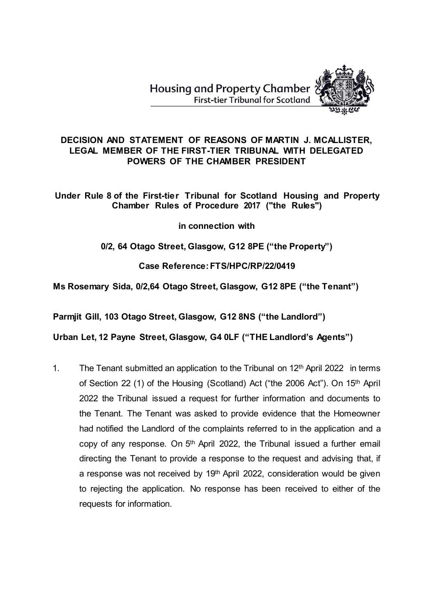**Housing and Property Chamber First-tier Tribunal for Scotland** 



### **DECISION AND STATEMENT OF REASONS OF MARTIN J. MCALLISTER, LEGAL MEMBER OF THE FIRST-TIER TRIBUNAL WITH DELEGATED POWERS OF THE CHAMBER PRESIDENT**

**Under Rule 8 of the First-tier Tribunal for Scotland Housing and Property Chamber Rules of Procedure 2017 ("the Rules")** 

**in connection with**

# **0/2, 64 Otago Street, Glasgow, G12 8PE ("the Property")**

**Case Reference: FTS/HPC/RP/22/0419**

# **Ms Rosemary Sida, 0/2,64 Otago Street, Glasgow, G12 8PE ("the Tenant")**

**Parmjit Gill, 103 Otago Street, Glasgow, G12 8NS ("the Landlord")**

**Urban Let, 12 Payne Street, Glasgow, G4 0LF ("THE Landlord's Agents")**

1. The Tenant submitted an application to the Tribunal on  $12<sup>th</sup>$  April 2022 in terms of Section 22 (1) of the Housing (Scotland) Act ("the 2006 Act"). On 15th April 2022 the Tribunal issued a request for further information and documents to the Tenant. The Tenant was asked to provide evidence that the Homeowner had notified the Landlord of the complaints referred to in the application and a copy of any response. On 5<sup>th</sup> April 2022, the Tribunal issued a further email directing the Tenant to provide a response to the request and advising that, if a response was not received by 19<sup>th</sup> April 2022, consideration would be given to rejecting the application. No response has been received to either of the requests for information.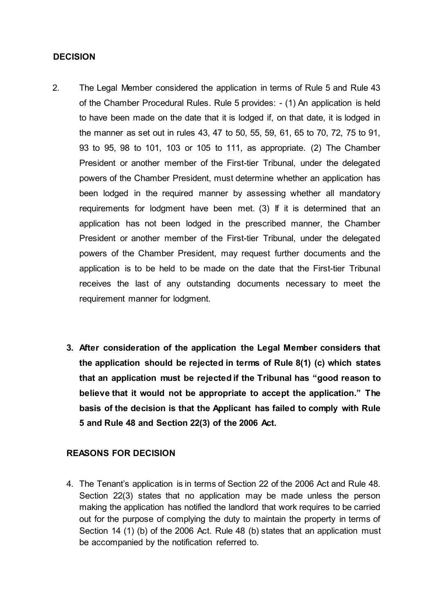#### **DECISION**

- 2. The Legal Member considered the application in terms of Rule 5 and Rule 43 of the Chamber Procedural Rules. Rule 5 provides: - (1) An application is held to have been made on the date that it is lodged if, on that date, it is lodged in the manner as set out in rules 43, 47 to 50, 55, 59, 61, 65 to 70, 72, 75 to 91, 93 to 95, 98 to 101, 103 or 105 to 111, as appropriate. (2) The Chamber President or another member of the First-tier Tribunal, under the delegated powers of the Chamber President, must determine whether an application has been lodged in the required manner by assessing whether all mandatory requirements for lodgment have been met. (3) If it is determined that an application has not been lodged in the prescribed manner, the Chamber President or another member of the First-tier Tribunal, under the delegated powers of the Chamber President, may request further documents and the application is to be held to be made on the date that the First-tier Tribunal receives the last of any outstanding documents necessary to meet the requirement manner for lodgment.
	- **3. After consideration of the application the Legal Member considers that the application should be rejected in terms of Rule 8(1) (c) which states that an application must be rejected if the Tribunal has "good reason to believe that it would not be appropriate to accept the application." The basis of the decision is that the Applicant has failed to comply with Rule 5 and Rule 48 and Section 22(3) of the 2006 Act.**

# **REASONS FOR DECISION**

4. The Tenant's application is in terms of Section 22 of the 2006 Act and Rule 48. Section 22(3) states that no application may be made unless the person making the application has notified the landlord that work requires to be carried out for the purpose of complying the duty to maintain the property in terms of Section 14 (1) (b) of the 2006 Act. Rule 48 (b) states that an application must be accompanied by the notification referred to.